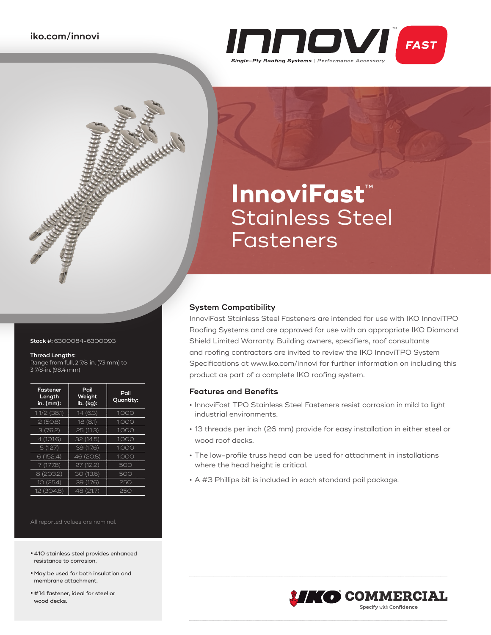

# **InnoviFast**™ Stainless Steel Fasteners

# **System Compatibility**

InnoviFast Stainless Steel Fasteners are intended for use with IKO InnoviTPO Roofing Systems and are approved for use with an appropriate IKO Diamond Shield Limited Warranty. Building owners, specifiers, roof consultants and roofing contractors are invited to review the IKO InnoviTPO System Specifications at www.iko.com/innovi for further information on including this product as part of a complete IKO roofing system.

# **Features and Benefits**

- **•** InnoviFast TPO Stainless Steel Fasteners resist corrosion in mild to light industrial environments.
- **•** 13 threads per inch (26 mm) provide for easy installation in either steel or wood roof decks.
- **•** The low-profile truss head can be used for attachment in installations where the head height is critical.
- **•** A #3 Phillips bit is included in each standard pail package.

- All reported values are nominal.
- **•** 410 stainless steel provides enhanced resistance to corrosion.
- **•**May be used for both insulation and membrane attachment.
- **•** #14 fastener, ideal for steel or wood decks.



**Stock #:** 6300084-6300093

**CONTROLLER STATES** 

#### **Thread Lengths:**

Range from full, 2 7/8-in. (73 mm) to 3 7/8-in. (98.4 mm)

| Fastener<br>Length<br>in. (mm): | Pail<br>Weight<br>lb. (kg): | Pail<br>Quantity: |
|---------------------------------|-----------------------------|-------------------|
| $11/2$ (38.1)                   | 14(6.3)                     | 1,000             |
| 2(50.8)                         | 18 (8.1)                    | 1,000             |
| 3(76.2)                         | 25 (11.3)                   | 1,000             |
| 4 (101.6)                       | 32 (14.5)                   | 1.000             |
| 5(127)                          | 39 (17.6)                   | 1.000             |
| 6 (152.4)                       | 46 (20.8)                   | 1.000             |
| 7(177.8)                        | 27 (12.2)                   | 500               |
| 8 (203.2)                       | 30 (13.6)                   | 500               |
| 10(254)                         | 39 (17.6)                   | 250               |
| 12 (304.8)                      | 48 (21.7)                   | 250               |